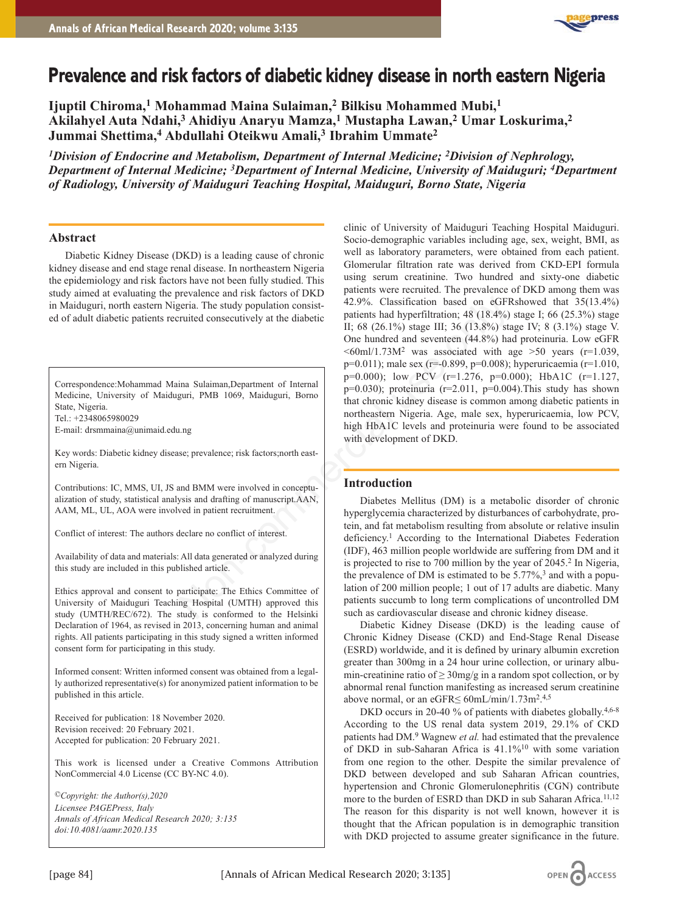

# **Prevalence and risk factors of diabetic kidney disease in north eastern Nigeria**

**Ijuptil Chiroma,1 Mohammad Maina Sulaiman,2 Bilkisu Mohammed Mubi,1 Akilahyel Auta Ndahi,3 Ahidiyu Anaryu Mamza,1 Mustapha Lawan,2 Umar Loskurima,2 Jummai Shettima,4 Abdullahi Oteikwu Amali,3 Ibrahim Ummate2**

*1Division of Endocrine and Metabolism, Department of Internal Medicine; 2Division of Nephrology, Department of Internal Medicine; 3Department of Internal Medicine, University of Maiduguri; 4Department of Radiology, University of Maiduguri Teaching Hospital, Maiduguri, Borno State, Nigeria*

# **Abstract**

Diabetic Kidney Disease (DKD) is a leading cause of chronic kidney disease and end stage renal disease. In northeastern Nigeria the epidemiology and risk factors have not been fully studied. This study aimed at evaluating the prevalence and risk factors of DKD in Maiduguri, north eastern Nigeria. The study population consisted of adult diabetic patients recruited consecutively at the diabetic

Correspondence:Mohammad Maina Sulaiman,Department of Internal Medicine, University of Maiduguri, PMB 1069, Maiduguri, Borno State, Nigeria. Tel.: +2348065980029

E-mail: drsmmaina@unimaid.edu.ng

Key words: Diabetic kidney disease; prevalence; risk factors;north eastern Nigeria.

Contributions: IC, MMS, UI, JS and BMM were involved in conceptualization of study, statistical analysis and drafting of manuscript.AAN, AAM, ML, UL, AOA were involved in patient recruitment.

Conflict of interest: The authors declare no conflict of interest.

Availability of data and materials: All data generated or analyzed during this study are included in this published article.

Ethics approval and consent to participate: The Ethics Committee of University of Maiduguri Teaching Hospital (UMTH) approved this study (UMTH/REC/672). The study is conformed to the Helsinki Declaration of 1964, as revised in 2013, concerning human and animal rights. All patients participating in this study signed a written informed consent form for participating in this study.

Informed consent: Written informed consent was obtained from a legally authorized representative(s) for anonymized patient information to be published in this article.

Received for publication: 18 November 2020. Revision received: 20 February 2021. Accepted for publication: 20 February 2021.

This work is licensed under a Creative Commons Attribution NonCommercial 4.0 License (CC BY-NC 4.0).

*©Copyright: the Author(s),2020 Licensee PAGEPress, Italy Annals of African Medical Research 2020; 3:135 doi:10.4081/aamr.2020*.*135*

clinic of University of Maiduguri Teaching Hospital Maiduguri. Socio-demographic variables including age, sex, weight, BMI, as well as laboratory parameters, were obtained from each patient. Glomerular filtration rate was derived from CKD-EPI formula using serum creatinine. Two hundred and sixty-one diabetic patients were recruited. The prevalence of DKD among them was 42.9%. Classification based on eGFRshowed that 35(13.4%) patients had hyperfiltration; 48 (18.4%) stage I; 66 (25.3%) stage II; 68 (26.1%) stage III; 36 (13.8%) stage IV; 8 (3.1%) stage V. One hundred and seventeen (44.8%) had proteinuria. Low eGFR  $\leq 60$ ml/1.73M<sup>2</sup> was associated with age  $\geq 50$  years (r=1.039, p=0.011); male sex (r=-0.899, p=0.008); hyperuricaemia (r=1.010, p=0.000); low PCV (r=1.276, p=0.000); HbA1C (r=1.127,  $p=0.030$ ; proteinuria ( $r=2.011$ ,  $p=0.004$ ). This study has shown that chronic kidney disease is common among diabetic patients in northeastern Nigeria. Age, male sex, hyperuricaemia, low PCV, high HbA1C levels and proteinuria were found to be associated with development of DKD. Exeria. The study population consist-<br>
Equivalent consecutively at the diabetic partial consecutively at the diabetic partial of  $(2.01\%)$ <br>
The S(26.1%) stage III; 36 (13.8%) stage and seventeen (44.8%) has<br>  $\sim$  60mm/1.7

# **Introduction**

Diabetes Mellitus (DM) is a metabolic disorder of chronic hyperglycemia characterized by disturbances of carbohydrate, protein, and fat metabolism resulting from absolute or relative insulin deficiency.<sup>1</sup> According to the International Diabetes Federation (IDF), 463 million people worldwide are suffering from DM and it is projected to rise to 700 million by the year of 2045.2 In Nigeria, the prevalence of DM is estimated to be  $5.77\%$ ,<sup>3</sup> and with a population of 200 million people; 1 out of 17 adults are diabetic. Many patients succumb to long term complications of uncontrolled DM such as cardiovascular disease and chronic kidney disease.

Diabetic Kidney Disease (DKD) is the leading cause of Chronic Kidney Disease (CKD) and End-Stage Renal Disease (ESRD) worldwide, and it is defined by urinary albumin excretion greater than 300mg in a 24 hour urine collection, or urinary albumin-creatinine ratio of  $\geq$  30mg/g in a random spot collection, or by abnormal renal function manifesting as increased serum creatinine above normal, or an eGFR $\leq 60$ mL/min/1.73m<sup>2</sup>.<sup>4,5</sup>

DKD occurs in 20-40 % of patients with diabetes globally.<sup>4,6-8</sup> According to the US renal data system 2019, 29.1% of CKD patients had DM.9 Wagnew *et al.* had estimated that the prevalence of DKD in sub-Saharan Africa is 41.1%10 with some variation from one region to the other. Despite the similar prevalence of DKD between developed and sub Saharan African countries, hypertension and Chronic Glomerulonephritis (CGN) contribute more to the burden of ESRD than DKD in sub Saharan Africa.<sup>11,12</sup> The reason for this disparity is not well known, however it is thought that the African population is in demographic transition with DKD projected to assume greater significance in the future.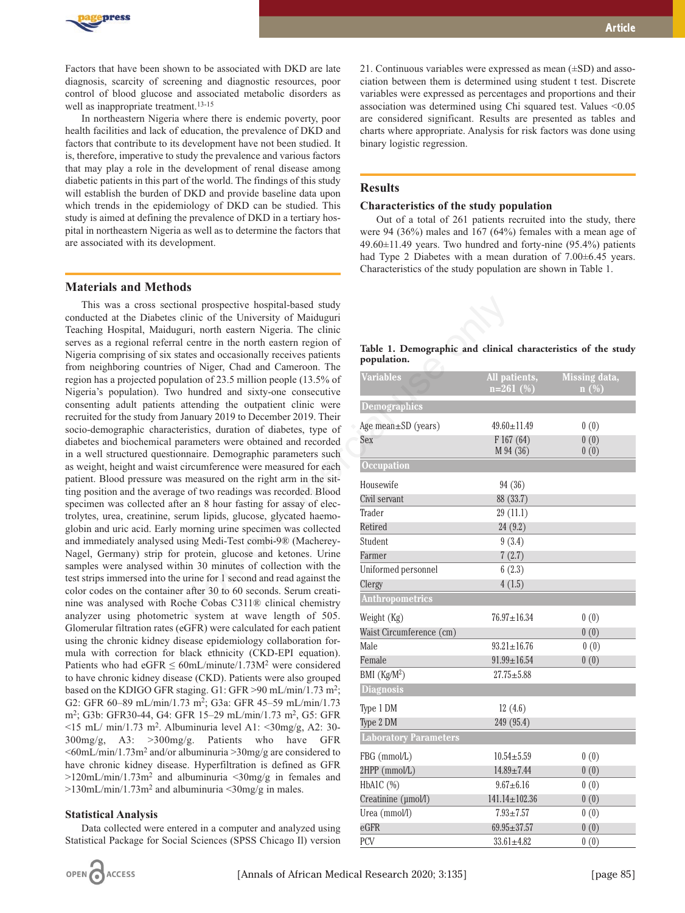

Factors that have been shown to be associated with DKD are late diagnosis, scarcity of screening and diagnostic resources, poor control of blood glucose and associated metabolic disorders as well as inappropriate treatment.<sup>13-15</sup>

In northeastern Nigeria where there is endemic poverty, poor health facilities and lack of education, the prevalence of DKD and factors that contribute to its development have not been studied. It is, therefore, imperative to study the prevalence and various factors that may play a role in the development of renal disease among diabetic patients in this part of the world. The findings of this study will establish the burden of DKD and provide baseline data upon which trends in the epidemiology of DKD can be studied. This study is aimed at defining the prevalence of DKD in a tertiary hospital in northeastern Nigeria as well as to determine the factors that are associated with its development.

### **Materials and Methods**

This was a cross sectional prospective hospital-based study conducted at the Diabetes clinic of the University of Maiduguri Teaching Hospital, Maiduguri, north eastern Nigeria. The clinic serves as a regional referral centre in the north eastern region of Nigeria comprising of six states and occasionally receives patients from neighboring countries of Niger, Chad and Cameroon. The region has a projected population of 23.5 million people (13.5% of Nigeria's population). Two hundred and sixty-one consecutive consenting adult patients attending the outpatient clinic were recruited for the study from January 2019 to December 2019. Their socio-demographic characteristics, duration of diabetes, type of diabetes and biochemical parameters were obtained and recorded in a well structured questionnaire. Demographic parameters such as weight, height and waist circumference were measured for each patient. Blood pressure was measured on the right arm in the sitting position and the average of two readings was recorded. Blood specimen was collected after an 8 hour fasting for assay of electrolytes, urea, creatinine, serum lipids, glucose, glycated haemoglobin and uric acid. Early morning urine specimen was collected and immediately analysed using Medi-Test combi-9® (Macherey-Nagel, Germany) strip for protein, glucose and ketones. Urine samples were analysed within 30 minutes of collection with the test strips immersed into the urine for 1 second and read against the color codes on the container after 30 to 60 seconds. Serum creatinine was analysed with Roche Cobas C311® clinical chemistry analyzer using photometric system at wave length of 505. Glomerular filtration rates (eGFR) were calculated for each patient using the chronic kidney disease epidemiology collaboration formula with correction for black ethnicity (CKD-EPI equation). Patients who had eGFR  $\leq 60$ mL/minute/1.73M<sup>2</sup> were considered to have chronic kidney disease (CKD). Patients were also grouped based on the KDIGO GFR staging. G1: GFR >90 mL/min/1.73 m2; G2: GFR 60–89 mL/min/1.73 m2; G3a: GFR 45–59 mL/min/1.73 m2; G3b: GFR30-44, G4: GFR 15–29 mL/min/1.73 m2, G5: GFR  $\langle 15 \text{ mL} / \text{min}/1.73 \text{ m}^2$ . Albuminuria level A1:  $\langle 30 \text{mg/g},$  A2: 30-300mg/g, A3: >300mg/g. Patients who have GFR  $\leq 60$ mL/min/1.73m<sup>2</sup> and/or albuminuria  $>$ 30mg/g are considered to have chronic kidney disease. Hyperfiltration is defined as GFR >120mL/min/1.73m2 and albuminuria <30mg/g in females and  $>130$ mL/min/1.73m<sup>2</sup> and albuminuria <30mg/g in males. comment prospective hospital-based study<br>
equine of the University of Maiduquri<br>
equine, north eastern Nigeria. The clinic<br>
are the north eastern Nigerial and Cameroon. The<br>
are some Nigerial and Cameroon. The<br>
are some N

#### **Statistical Analysis**

Data collected were entered in a computer and analyzed using Statistical Package for Social Sciences (SPSS Chicago Il) version



21. Continuous variables were expressed as mean  $(\pm SD)$  and association between them is determined using student t test. Discrete variables were expressed as percentages and proportions and their association was determined using Chi squared test. Values <0.05 are considered significant. Results are presented as tables and charts where appropriate. Analysis for risk factors was done using binary logistic regression.

# **Results**

#### **Characteristics of the study population**

Out of a total of 261 patients recruited into the study, there were 94 (36%) males and 167 (64%) females with a mean age of  $49.60\pm11.49$  years. Two hundred and forty-nine (95.4%) patients had Type 2 Diabetes with a mean duration of 7.00±6.45 years. Characteristics of the study population are shown in Table 1.

|             |  | Table 1. Demographic and clinical characteristics of the study |  |
|-------------|--|----------------------------------------------------------------|--|
| population. |  |                                                                |  |

| <b>Variables</b>             | All patients,<br>$n=261$ (%) | Missing data,<br>$\mathbf{n}(\%)$ |
|------------------------------|------------------------------|-----------------------------------|
| Demographics                 |                              |                                   |
| Age mean $\pm$ SD (years)    | $49.60 \pm 11.49$            | 0(0)                              |
| Sex                          | F167(64)<br>M 94 (36)        | 0(0)<br>0(0)                      |
| <b>Occupation</b>            |                              |                                   |
| Housewife                    | 94 (36)                      |                                   |
| Civil servant                | 88 (33.7)                    |                                   |
| Trader                       | 29 (11.1)                    |                                   |
| Retired                      | 24(9.2)                      |                                   |
| Student                      | 9(3.4)                       |                                   |
| Farmer                       | 7(2.7)                       |                                   |
| Uniformed personnel          | 6(2.3)                       |                                   |
| Clergy                       | 4(1.5)                       |                                   |
| <b>Anthropometrics</b>       |                              |                                   |
| Weight (Kg)                  | $76.97 \pm 16.34$            | 0(0)                              |
| Waist Circumference (cm)     |                              | 0(0)                              |
| Male                         | $93.21 \pm 16.76$            | 0(0)                              |
| Female                       | $91.99 \pm 16.54$            | 0(0)                              |
| BMI (Kg/M <sup>2</sup> )     | $27.75 \pm 5.88$             |                                   |
| <b>Diagnosis</b>             |                              |                                   |
| Type 1 DM                    | 12(4.6)                      |                                   |
| Type 2 DM                    | 249 (95.4)                   |                                   |
| <b>Laboratory Parameters</b> |                              |                                   |
| FBG (mmol/L)                 | $10.54 + 5.59$               | 0(0)                              |
| 2HPP (mmol/L)                | $14.89 \pm 7.44$             | 0(0)                              |
| HbA1C (%)                    | $9.67 + 6.16$                | 0(0)                              |
| Creatinine (µmol/l)          | $141.14 \pm 102.36$          | 0(0)                              |
| Urea (mmol/l)                | $7.93 + 7.57$                | 0(0)                              |
| eGFR                         | $69.95 \pm 37.57$            | 0(0)                              |
| PCV                          | $33.61 \pm 4.82$             | 0(0)                              |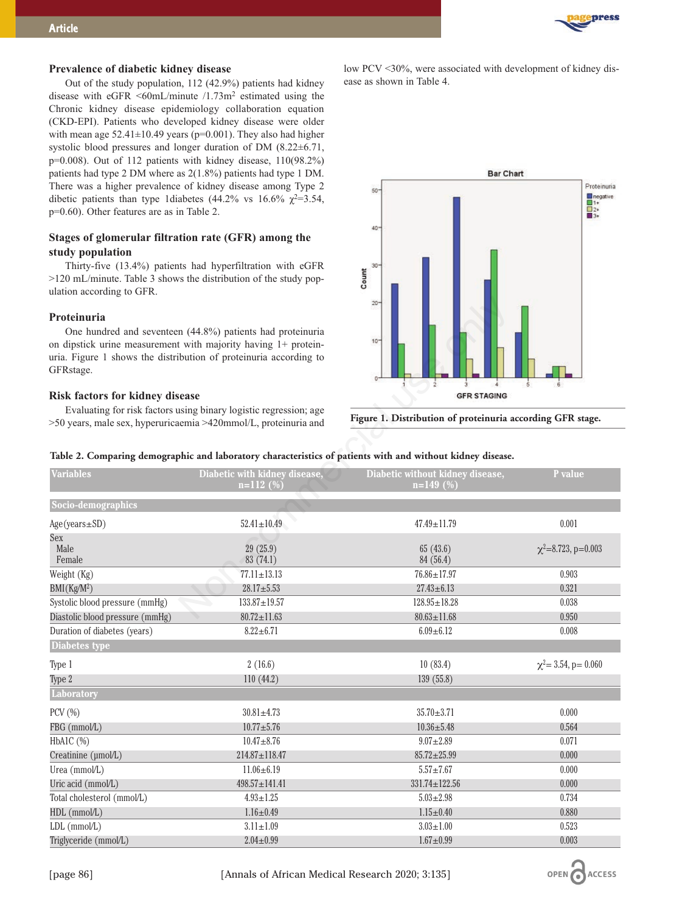

## **Prevalence of diabetic kidney disease**

Out of the study population, 112 (42.9%) patients had kidney disease with eGFR  $\leq 60$ mL/minute /1.73m<sup>2</sup> estimated using the Chronic kidney disease epidemiology collaboration equation (CKD-EPI). Patients who developed kidney disease were older with mean age  $52.41 \pm 10.49$  years (p=0.001). They also had higher systolic blood pressures and longer duration of DM (8.22±6.71, p=0.008). Out of 112 patients with kidney disease, 110(98.2%) patients had type 2 DM where as 2(1.8%) patients had type 1 DM. There was a higher prevalence of kidney disease among Type 2 dibetic patients than type 1diabetes (44.2% vs 16.6%  $\chi^2$ =3.54, p=0.60). Other features are as in Table 2.

# **Stages of glomerular filtration rate (GFR) among the study population**

Thirty-five (13.4%) patients had hyperfiltration with eGFR >120 mL/minute. Table 3 shows the distribution of the study population according to GFR.

#### **Proteinuria**

## **Risk factors for kidney disease**

low PCV <30%, were associated with development of kidney disease as shown in Table 4.



**Figure 1. Distribution of proteinuria according GFR stage.**

| Proteinuria<br>One hundred and seventeen (44.8%) patients had proteinuria<br>10<br>on dipstick urine measurement with majority having $1+$ protein-<br>uria. Figure 1 shows the distribution of proteinuria according to<br>GFRstage.<br><b>GFR STAGING</b><br><b>Risk factors for kidney disease</b><br>Evaluating for risk factors using binary logistic regression; age<br>Figure 1. Distribution of proteinuria according GFR stage.<br>>50 years, male sex, hyperuricaemia >420mmol/L, proteinuria and<br>Table 2. Comparing demographic and laboratory characteristics of patients with and without kidney disease.<br><b>Variables</b><br>Diabetic with kidney disease,<br>Diabetic without kidney disease,<br>P value<br>$n=112(%)$<br>$n=149(%)$ |  |
|-----------------------------------------------------------------------------------------------------------------------------------------------------------------------------------------------------------------------------------------------------------------------------------------------------------------------------------------------------------------------------------------------------------------------------------------------------------------------------------------------------------------------------------------------------------------------------------------------------------------------------------------------------------------------------------------------------------------------------------------------------------|--|
|                                                                                                                                                                                                                                                                                                                                                                                                                                                                                                                                                                                                                                                                                                                                                           |  |
|                                                                                                                                                                                                                                                                                                                                                                                                                                                                                                                                                                                                                                                                                                                                                           |  |
|                                                                                                                                                                                                                                                                                                                                                                                                                                                                                                                                                                                                                                                                                                                                                           |  |
|                                                                                                                                                                                                                                                                                                                                                                                                                                                                                                                                                                                                                                                                                                                                                           |  |
|                                                                                                                                                                                                                                                                                                                                                                                                                                                                                                                                                                                                                                                                                                                                                           |  |
| Socio-demographics                                                                                                                                                                                                                                                                                                                                                                                                                                                                                                                                                                                                                                                                                                                                        |  |
| 0.001<br>$Age(years \pm SD)$<br>$52.41 \pm 10.49$<br>$47.49 \pm 11.79$                                                                                                                                                                                                                                                                                                                                                                                                                                                                                                                                                                                                                                                                                    |  |
| Sex                                                                                                                                                                                                                                                                                                                                                                                                                                                                                                                                                                                                                                                                                                                                                       |  |
| Male<br>29(25.9)<br>$\chi^2$ =8.723, p=0.003<br>65(43.6)                                                                                                                                                                                                                                                                                                                                                                                                                                                                                                                                                                                                                                                                                                  |  |
| Female<br>83(74.1)<br>84 (56.4)                                                                                                                                                                                                                                                                                                                                                                                                                                                                                                                                                                                                                                                                                                                           |  |
| Weight (Kg)<br>$77.11 \pm 13.13$<br>$76.86 \pm 17.97$<br>0.903<br>$28.17 \pm 5.53$<br>$27.43 \pm 6.13$<br>0.321                                                                                                                                                                                                                                                                                                                                                                                                                                                                                                                                                                                                                                           |  |
| BMI(Kg/M <sup>2</sup> )<br>$128.95 \pm 18.28$<br>Systolic blood pressure (mmHg)<br>$133.87 \pm 19.57$<br>0.038                                                                                                                                                                                                                                                                                                                                                                                                                                                                                                                                                                                                                                            |  |
| Diastolic blood pressure (mmHg)<br>$80.72 \pm 11.63$<br>$80.63 \pm 11.68$<br>0.950                                                                                                                                                                                                                                                                                                                                                                                                                                                                                                                                                                                                                                                                        |  |
| Duration of diabetes (years)<br>$8.22 \pm 6.71$<br>$6.09 \pm 6.12$<br>0.008                                                                                                                                                                                                                                                                                                                                                                                                                                                                                                                                                                                                                                                                               |  |
| Diabetes type                                                                                                                                                                                                                                                                                                                                                                                                                                                                                                                                                                                                                                                                                                                                             |  |
| $\chi^2$ = 3.54, p = 0.060<br>10(83.4)<br>2(16.6)<br>Type 1                                                                                                                                                                                                                                                                                                                                                                                                                                                                                                                                                                                                                                                                                               |  |
| 110(44.2)<br>139(55.8)<br>Type 2                                                                                                                                                                                                                                                                                                                                                                                                                                                                                                                                                                                                                                                                                                                          |  |
| Laboratory                                                                                                                                                                                                                                                                                                                                                                                                                                                                                                                                                                                                                                                                                                                                                |  |
| $PCV$ $(\%)$<br>$30.81 \pm 4.73$<br>$35.70 \pm 3.71$<br>0.000                                                                                                                                                                                                                                                                                                                                                                                                                                                                                                                                                                                                                                                                                             |  |
| FBG (mmol/L)<br>$10.77 + 5.76$<br>$10.36 + 5.48$<br>0.564                                                                                                                                                                                                                                                                                                                                                                                                                                                                                                                                                                                                                                                                                                 |  |
| $9.07 \pm 2.89$<br>HbA1C $(\%)$<br>$10.47 + 8.76$<br>0.071                                                                                                                                                                                                                                                                                                                                                                                                                                                                                                                                                                                                                                                                                                |  |
| $85.72 \pm 25.99$<br>Creatinine (µmol/L)<br>$214.87 \pm 118.47$<br>0.000                                                                                                                                                                                                                                                                                                                                                                                                                                                                                                                                                                                                                                                                                  |  |
| Urea (mmol/L)<br>$11.06 \pm 6.19$<br>$5.57 \pm 7.67$<br>0.000                                                                                                                                                                                                                                                                                                                                                                                                                                                                                                                                                                                                                                                                                             |  |
| Uric acid (mmol/L)<br>$498.57 \pm 141.41$<br>$331.74 \pm 122.56$<br>0.000                                                                                                                                                                                                                                                                                                                                                                                                                                                                                                                                                                                                                                                                                 |  |
| $5.03 \pm 2.98$<br>0.734<br>Total cholesterol (mmol/L)<br>$4.93 \pm 1.25$                                                                                                                                                                                                                                                                                                                                                                                                                                                                                                                                                                                                                                                                                 |  |
| $1.15 \pm 0.40$<br>0.880<br>HDL (mmol/L)<br>$1.16 \pm 0.49$                                                                                                                                                                                                                                                                                                                                                                                                                                                                                                                                                                                                                                                                                               |  |
| $LDL$ (mmol/ $L$ )<br>$3.11 \pm 1.09$<br>$3.03 \pm 1.00$<br>0.523                                                                                                                                                                                                                                                                                                                                                                                                                                                                                                                                                                                                                                                                                         |  |
| Triglyceride (mmol/L)<br>$1.67 + 0.99$<br>$2.04 \pm 0.99$<br>0.003                                                                                                                                                                                                                                                                                                                                                                                                                                                                                                                                                                                                                                                                                        |  |

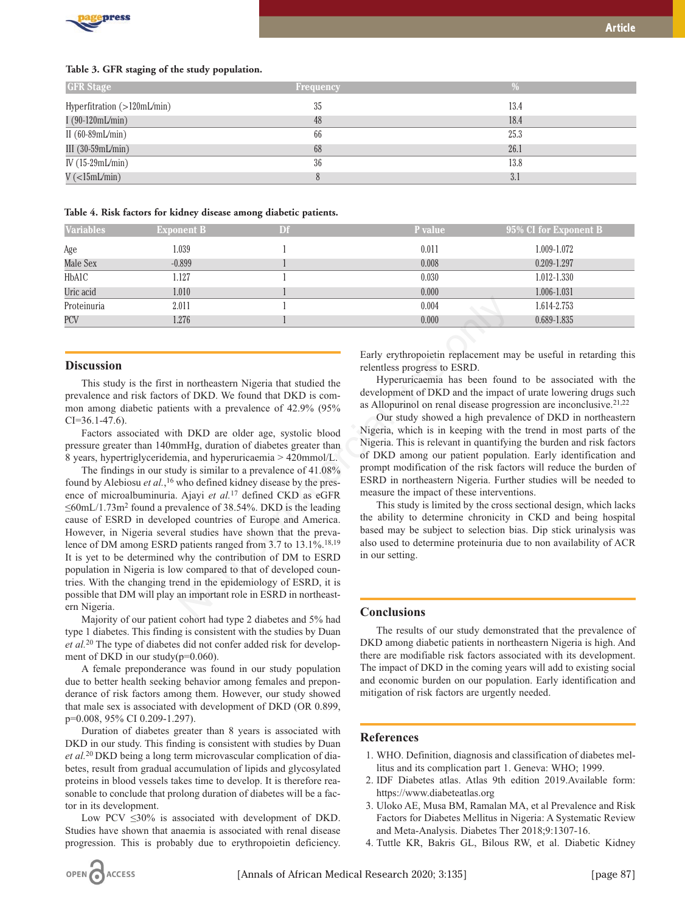

| <b>GFR</b> Stage              | <b>Frequency</b> |      |
|-------------------------------|------------------|------|
| Hyperfitration (>120mL/min)   | 35               | 13.4 |
| I $(90-120mL/min)$            | 48               | 18.4 |
| II $(60-89mL/min)$            | 66               | 25.3 |
| III $(30-59mL/min)$           | 68               | 26.1 |
| IV $(15-29mL/min)$            | 36               | 13.8 |
| $V(\langle 15mL/min \rangle)$ |                  | 3.1  |

#### **Table 4. Risk factors for kidney disease among diabetic patients.**

| <b>Variables</b> | <b>Exponent B</b> | Df | <b>P</b> value | 95% CI for Exponent B |
|------------------|-------------------|----|----------------|-----------------------|
| Age              | 1.039             |    | 0.011          | 1.009-1.072           |
| Male Sex         | $-0.899$          |    | 0.008          | 0.209-1.297           |
| HbA1C            | 1.127             |    | 0.030          | 1.012-1.330           |
| Uric acid        | 1.010             |    | 0.000          | 1.006-1.031           |
| Proteinuria      | 2.011             |    | 0.004<br>۰.    | 1.614-2.753           |
| <b>PCV</b>       | 1.276             |    | 0.000          | 0.689-1.835           |

This study is the first in northeastern Nigeria that studied the prevalence and risk factors of DKD. We found that DKD is common among diabetic patients with a prevalence of 42.9% (95% CI=36.1-47.6).

Factors associated with DKD are older age, systolic blood pressure greater than 140mmHg, duration of diabetes greater than 8 years, hypertriglyceridemia, and hyperuricaemia > 420mmol/L.

The findings in our study is similar to a prevalence of 41.08% found by Alebiosu *et al.*, <sup>16</sup> who defined kidney disease by the presence of microalbuminuria. Ajayi *et al.*<sup>17</sup> defined CKD as eGFR  $\leq 60$ mL/1.73m<sup>2</sup> found a prevalence of 38.54%. DKD is the leading cause of ESRD in developed countries of Europe and America. However, in Nigeria several studies have shown that the prevalence of DM among ESRD patients ranged from 3.7 to 13.1%.<sup>18,19</sup> It is yet to be determined why the contribution of DM to ESRD population in Nigeria is low compared to that of developed countries. With the changing trend in the epidemiology of ESRD, it is possible that DM will play an important role in ESRD in northeastern Nigeria. Non-commercial use only

Majority of our patient cohort had type 2 diabetes and 5% had type 1 diabetes. This finding is consistent with the studies by Duan *et al.*<sup>20</sup> The type of diabetes did not confer added risk for development of DKD in our study( $p=0.060$ ).

A female preponderance was found in our study population due to better health seeking behavior among females and preponderance of risk factors among them. However, our study showed that male sex is associated with development of DKD (OR 0.899, p=0.008, 95% CI 0.209-1.297).

Duration of diabetes greater than 8 years is associated with DKD in our study. This finding is consistent with studies by Duan *et al.*20 DKD being a long term microvascular complication of diabetes, result from gradual accumulation of lipids and glycosylated proteins in blood vessels takes time to develop. It is therefore reasonable to conclude that prolong duration of diabetes will be a factor in its development.

Low PCV  $\leq 30\%$  is associated with development of DKD. Studies have shown that anaemia is associated with renal disease progression. This is probably due to erythropoietin deficiency.

Early erythropoietin replacement may be useful in retarding this relentless progress to ESRD.

Hyperuricaemia has been found to be associated with the development of DKD and the impact of urate lowering drugs such as Allopurinol on renal disease progression are inconclusive.21,22

Our study showed a high prevalence of DKD in northeastern Nigeria, which is in keeping with the trend in most parts of the Nigeria. This is relevant in quantifying the burden and risk factors of DKD among our patient population. Early identification and prompt modification of the risk factors will reduce the burden of ESRD in northeastern Nigeria. Further studies will be needed to measure the impact of these interventions.

This study is limited by the cross sectional design, which lacks the ability to determine chronicity in CKD and being hospital based may be subject to selection bias. Dip stick urinalysis was also used to determine proteinuria due to non availability of ACR in our setting.

#### **Conclusions**

The results of our study demonstrated that the prevalence of DKD among diabetic patients in northeastern Nigeria is high. And there are modifiable risk factors associated with its development. The impact of DKD in the coming years will add to existing social and economic burden on our population. Early identification and mitigation of risk factors are urgently needed.

# **References**

- 1. WHO. Definition, diagnosis and classification of diabetes mellitus and its complication part 1. Geneva: WHO; 1999.
- 2. IDF Diabetes atlas. Atlas 9th edition 2019.Available form: https://www.diabeteatlas.org
- 3. Uloko AE, Musa BM, Ramalan MA, et al Prevalence and Risk Factors for Diabetes Mellitus in Nigeria: A Systematic Review and Meta-Analysis. Diabetes Ther 2018;9:1307-16.
- 4. Tuttle KR, Bakris GL, Bilous RW, et al. Diabetic Kidney